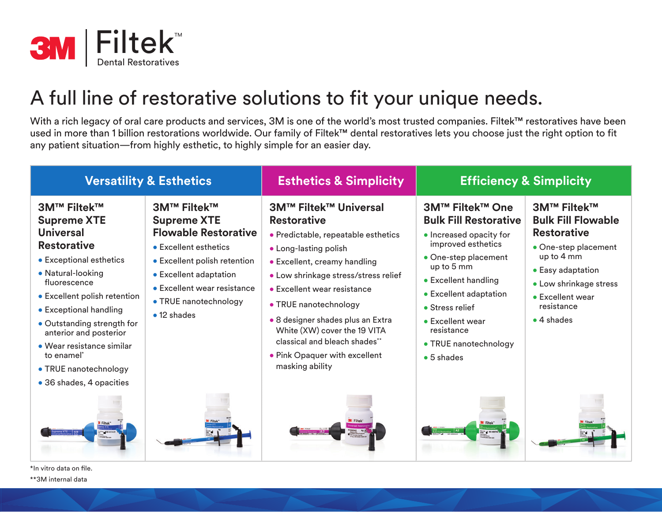

## A full line of restorative solutions to fit your unique needs.

With a rich legacy of oral care products and services, 3M is one of the world's most trusted companies. Filtek™ restoratives have been used in more than 1 billion restorations worldwide. Our family of Filtek™ dental restoratives lets you choose just the right option to fit any patient situation—from highly esthetic, to highly simple for an easier day.

| <b>Versatility &amp; Esthetics</b>                                                                                                                                                                                                                                                                                                                                                       |                                                                                                                                                                                                                                           | <b>Esthetics &amp; Simplicity</b>                                                                                                                                                                                                                                                                                                                                                                            | <b>Efficiency &amp; Simplicity</b>                                                                                                                                                                                                                                                                  |                                                                                                                                                                                                                    |  |  |  |  |
|------------------------------------------------------------------------------------------------------------------------------------------------------------------------------------------------------------------------------------------------------------------------------------------------------------------------------------------------------------------------------------------|-------------------------------------------------------------------------------------------------------------------------------------------------------------------------------------------------------------------------------------------|--------------------------------------------------------------------------------------------------------------------------------------------------------------------------------------------------------------------------------------------------------------------------------------------------------------------------------------------------------------------------------------------------------------|-----------------------------------------------------------------------------------------------------------------------------------------------------------------------------------------------------------------------------------------------------------------------------------------------------|--------------------------------------------------------------------------------------------------------------------------------------------------------------------------------------------------------------------|--|--|--|--|
| <b>3M™ Filtek™</b><br><b>Supreme XTE</b><br><b>Universal</b><br><b>Restorative</b><br>• Exceptional esthetics<br>• Natural-looking<br>fluorescence<br>• Excellent polish retention<br>• Exceptional handling<br>• Outstanding strength for<br>anterior and posterior<br>$\bullet$ Wear resistance similar<br>to enamel <sup>*</sup><br>• TRUE nanotechnology<br>• 36 shades, 4 opacities | <b>3M™ Filtek™</b><br><b>Supreme XTE</b><br><b>Flowable Restorative</b><br>• Excellent esthetics<br>• Excellent polish retention<br>• Excellent adaptation<br>• Excellent wear resistance<br>• TRUE nanotechnology<br>$\bullet$ 12 shades | <b>3M™ Filtek™ Universal</b><br><b>Restorative</b><br>· Predictable, repeatable esthetics<br>• Long-lasting polish<br>• Excellent, creamy handling<br>• Low shrinkage stress/stress relief<br>• Excellent wear resistance<br>• TRUE nanotechnology<br>· 8 designer shades plus an Extra<br>White (XW) cover the 19 VITA<br>classical and bleach shades**<br>• Pink Opaquer with excellent<br>masking ability | <b>3M™ Filtek™ One</b><br><b>Bulk Fill Restorative</b><br>• Increased opacity for<br>improved esthetics<br>• One-step placement<br>up to 5 mm<br>• Excellent handling<br>• Excellent adaptation<br>• Stress relief<br>• Excellent wear<br>resistance<br>• TRUE nanotechnology<br>$\bullet$ 5 shades | <b>3M™ Filtek™</b><br><b>Bulk Fill Flowable</b><br><b>Restorative</b><br>• One-step placement<br>up to 4 mm<br>• Easy adaptation<br>• Low shrinkage stress<br>• Excellent wear<br>resistance<br>$\bullet$ 4 shades |  |  |  |  |
| *In vitro data on file.                                                                                                                                                                                                                                                                                                                                                                  |                                                                                                                                                                                                                                           |                                                                                                                                                                                                                                                                                                                                                                                                              |                                                                                                                                                                                                                                                                                                     |                                                                                                                                                                                                                    |  |  |  |  |

\*\*3M internal data